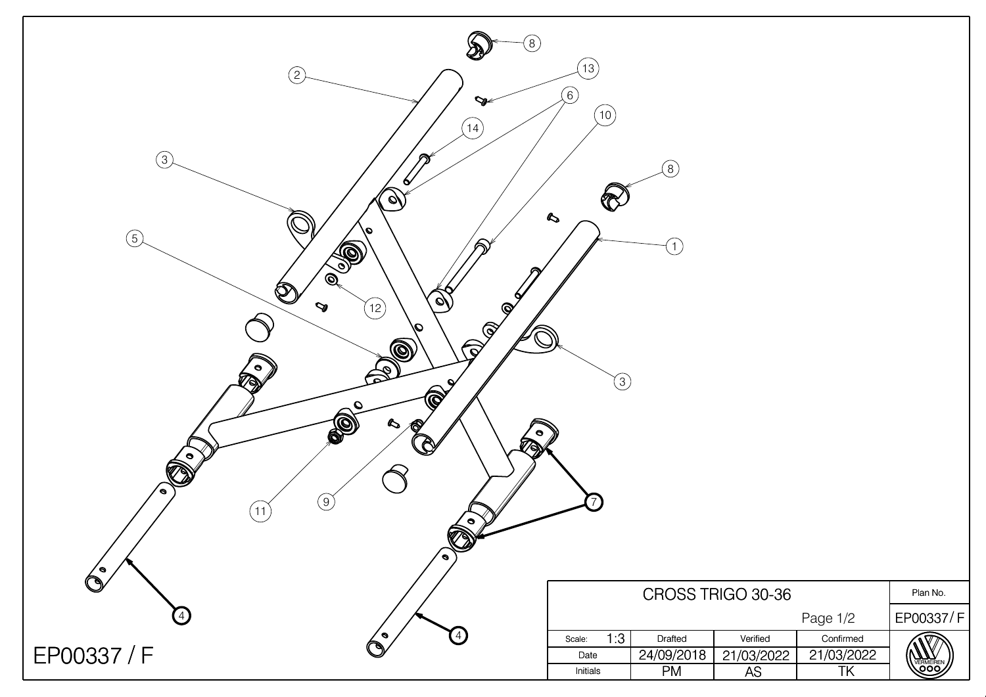| $\circledS$<br>$\circled{2}$<br>V<br>(14)<br>$\circled{3}$<br>$\bullet$<br>$\phi$<br>9/<br>$\circledS$<br>S<br>⋒<br>$\circledcirc$<br>$\bigcircled{0}$<br>$\mathscr{A}$<br>$\sigma$<br>$\mathbf{\heartsuit}$<br>(12)<br>$\sqrt{2}$<br>91<br>O)<br>$\mathcal{P}_\mathsf{L}$<br>$\bullet$<br>REA<br>O<br>◈<br>$\boldsymbol{\mathcal{S}}$<br><b>LAST</b><br>$\bigotimes$<br>$\bullet$<br>$\bullet$<br>$\circled{9}$<br>11<br>$\bigotimes_{i=1}^{n} \mathbb{Z}^n$ | $\left(13\right)$<br>(6)<br>(10)<br>$\boldsymbol{\mathcal{S}}$<br>$\Large{\textcircled{\small{3}}}$ | $\left(\begin{matrix} 8 \end{matrix}\right)$<br>$\mathbf{1}$ |                     |            |                  |
|---------------------------------------------------------------------------------------------------------------------------------------------------------------------------------------------------------------------------------------------------------------------------------------------------------------------------------------------------------------------------------------------------------------------------------------------------------------|-----------------------------------------------------------------------------------------------------|--------------------------------------------------------------|---------------------|------------|------------------|
| $\bullet$                                                                                                                                                                                                                                                                                                                                                                                                                                                     |                                                                                                     |                                                              | CROSS TRIGO 30-36   |            | Plan No.         |
| $\bigcirc$                                                                                                                                                                                                                                                                                                                                                                                                                                                    |                                                                                                     |                                                              |                     | Page 1/2   | EP00337/F        |
| $\left(4\right)$<br>$\epsilon$                                                                                                                                                                                                                                                                                                                                                                                                                                | 1:3<br>Scale:                                                                                       | Drafted                                                      | Verified            | Confirmed  |                  |
| EP00337 / F                                                                                                                                                                                                                                                                                                                                                                                                                                                   | Date                                                                                                | 24/09/2018                                                   | $\sqrt{21}/03/2022$ | 21/03/2022 | <b>VERMEIREN</b> |
|                                                                                                                                                                                                                                                                                                                                                                                                                                                               | Initials                                                                                            | <b>PM</b>                                                    | AS                  | TK         |                  |